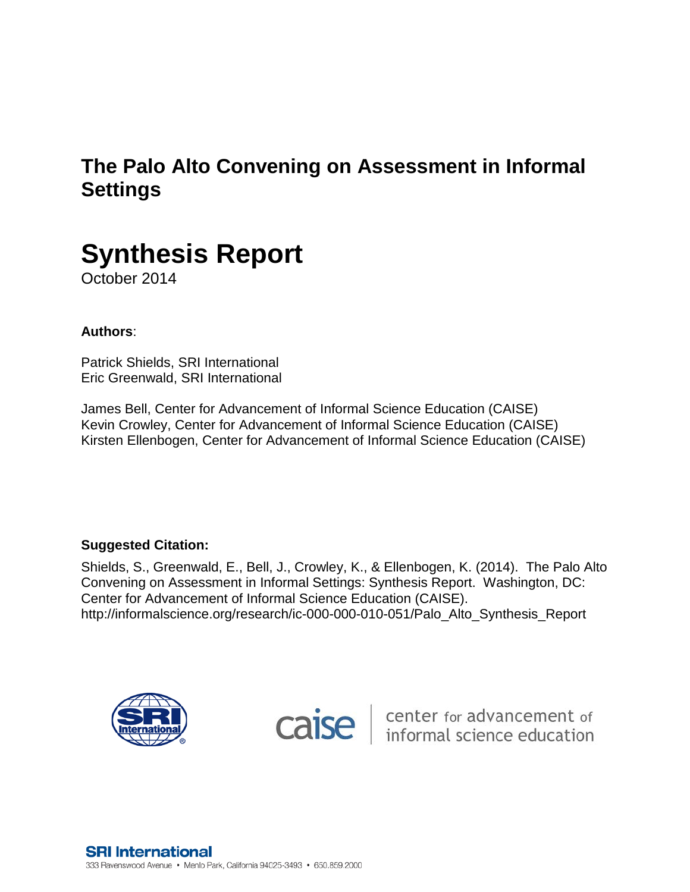# **The Palo Alto Convening on Assessment in Informal Settings**



October 2014

# **Authors**:

Patrick Shields, SRI International Eric Greenwald, SRI International

James Bell, Center for Advancement of Informal Science Education (CAISE) Kevin Crowley, Center for Advancement of Informal Science Education (CAISE) Kirsten Ellenbogen, Center for Advancement of Informal Science Education (CAISE)

## **Suggested Citation:**

Shields, S., Greenwald, E., Bell, J., Crowley, K., & Ellenbogen, K. (2014). The Palo Alto Convening on Assessment in Informal Settings: Synthesis Report. Washington, DC: Center for Advancement of Informal Science Education (CAISE). http://informalscience.org/research/ic-000-000-010-051/Palo\_Alto\_Synthesis\_Report





**Caise** enter for advancement of informal science education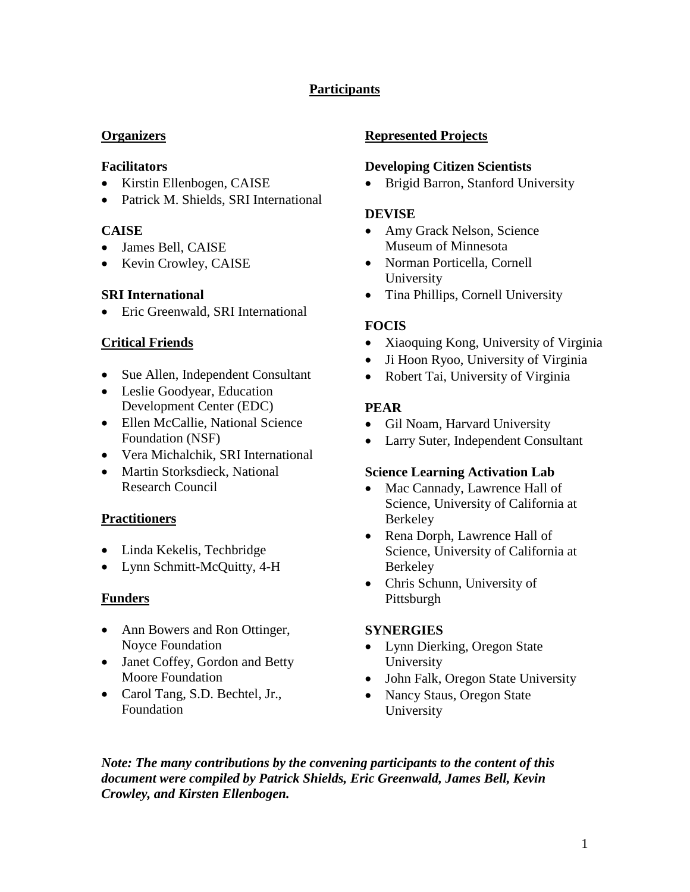# **Participants**

#### **Organizers**

#### **Facilitators**

- Kirstin Ellenbogen, CAISE
- Patrick M. Shields, SRI International

## **CAISE**

- James Bell, CAISE
- Kevin Crowley, CAISE

## **SRI International**

• Eric Greenwald, SRI International

## **Critical Friends**

- Sue Allen, Independent Consultant
- Leslie Goodyear, Education Development Center (EDC)
- Ellen McCallie, National Science Foundation (NSF)
- Vera Michalchik, SRI International
- Martin Storksdieck, National Research Council

#### **Practitioners**

- Linda Kekelis, Techbridge
- Lynn Schmitt-McQuitty, 4-H

#### **Funders**

- Ann Bowers and Ron Ottinger, Noyce Foundation
- Janet Coffey, Gordon and Betty Moore Foundation
- Carol Tang, S.D. Bechtel, Jr., Foundation

## **Represented Projects**

#### **Developing Citizen Scientists**

• Brigid Barron, Stanford University

#### **DEVISE**

- Amy Grack Nelson, Science Museum of Minnesota
- Norman Porticella, Cornell University
- Tina Phillips, Cornell University

## **FOCIS**

- Xiaoquing Kong, University of Virginia
- Ji Hoon Ryoo, University of Virginia
- Robert Tai, University of Virginia

## **PEAR**

- Gil Noam, Harvard University
- Larry Suter, Independent Consultant

#### **Science Learning Activation Lab**

- Mac Cannady, Lawrence Hall of Science, University of California at Berkeley
- Rena Dorph, Lawrence Hall of Science, University of California at Berkeley
- Chris Schunn, University of Pittsburgh

## **SYNERGIES**

- Lynn Dierking, Oregon State University
- John Falk, Oregon State University
- Nancy Staus, Oregon State University

*Note: The many contributions by the convening participants to the content of this document were compiled by Patrick Shields, Eric Greenwald, James Bell, Kevin Crowley, and Kirsten Ellenbogen.*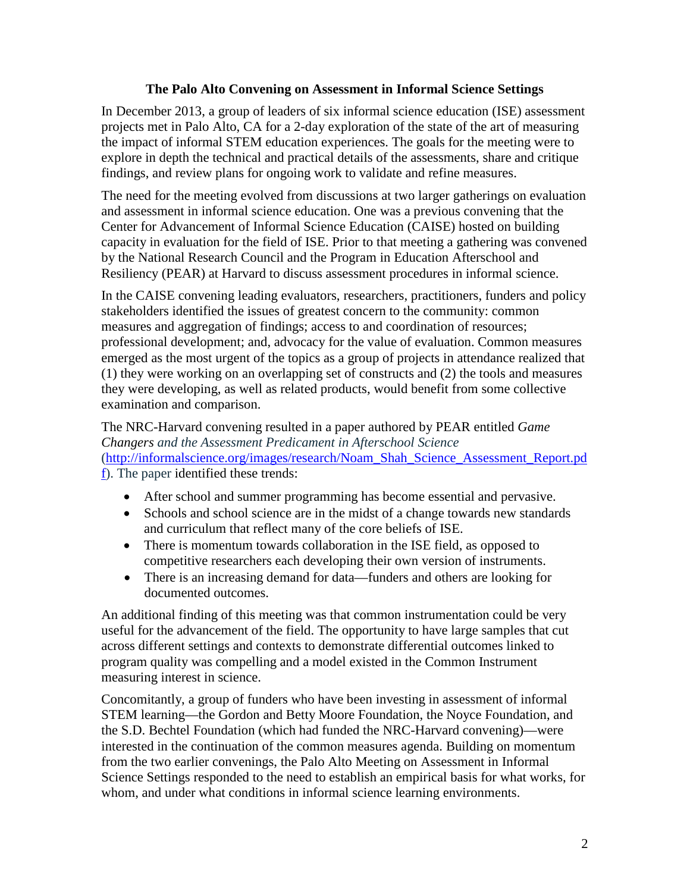#### **The Palo Alto Convening on Assessment in Informal Science Settings**

In December 2013, a group of leaders of six informal science education (ISE) assessment projects met in Palo Alto, CA for a 2-day exploration of the state of the art of measuring the impact of informal STEM education experiences. The goals for the meeting were to explore in depth the technical and practical details of the assessments, share and critique findings, and review plans for ongoing work to validate and refine measures.

The need for the meeting evolved from discussions at two larger gatherings on evaluation and assessment in informal science education. One was a previous convening that the Center for Advancement of Informal Science Education (CAISE) hosted on building capacity in evaluation for the field of ISE. Prior to that meeting a gathering was convened by the National Research Council and the Program in Education Afterschool and Resiliency (PEAR) at Harvard to discuss assessment procedures in informal science.

In the CAISE convening leading evaluators, researchers, practitioners, funders and policy stakeholders identified the issues of greatest concern to the community: common measures and aggregation of findings; access to and coordination of resources; professional development; and, advocacy for the value of evaluation. Common measures emerged as the most urgent of the topics as a group of projects in attendance realized that (1) they were working on an overlapping set of constructs and (2) the tools and measures they were developing, as well as related products, would benefit from some collective examination and comparison.

# The NRC-Harvard convening resulted in a paper authored by PEAR entitled *Game Changers and the Assessment Predicament in Afterschool Science*  [\(http://informalscience.org/images/research/Noam\\_Shah\\_Science\\_Assessment\\_Report.pd](http://informalscience.org/images/research/Noam_Shah_Science_Assessment_Report.pdf)

[f\)](http://informalscience.org/images/research/Noam_Shah_Science_Assessment_Report.pdf). The paper identified these trends:

- After school and summer programming has become essential and pervasive.
- Schools and school science are in the midst of a change towards new standards and curriculum that reflect many of the core beliefs of ISE.
- There is momentum towards collaboration in the ISE field, as opposed to competitive researchers each developing their own version of instruments.
- There is an increasing demand for data—funders and others are looking for documented outcomes.

An additional finding of this meeting was that common instrumentation could be very useful for the advancement of the field. The opportunity to have large samples that cut across different settings and contexts to demonstrate differential outcomes linked to program quality was compelling and a model existed in the Common Instrument measuring interest in science.

Concomitantly, a group of funders who have been investing in assessment of informal STEM learning—the Gordon and Betty Moore Foundation, the Noyce Foundation, and the S.D. Bechtel Foundation (which had funded the NRC-Harvard convening)—were interested in the continuation of the common measures agenda. Building on momentum from the two earlier convenings, the Palo Alto Meeting on Assessment in Informal Science Settings responded to the need to establish an empirical basis for what works, for whom, and under what conditions in informal science learning environments.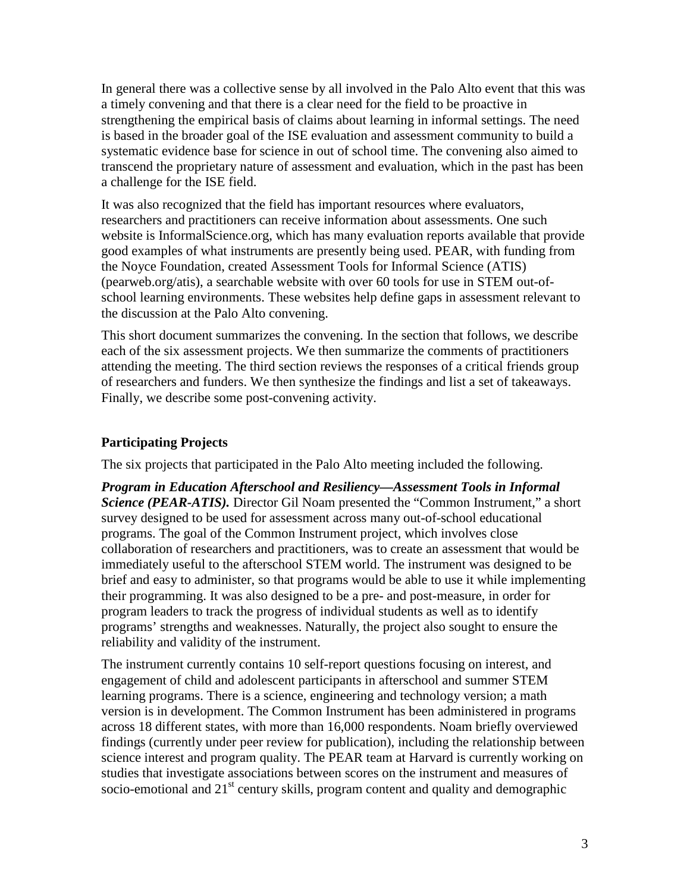In general there was a collective sense by all involved in the Palo Alto event that this was a timely convening and that there is a clear need for the field to be proactive in strengthening the empirical basis of claims about learning in informal settings. The need is based in the broader goal of the ISE evaluation and assessment community to build a systematic evidence base for science in out of school time. The convening also aimed to transcend the proprietary nature of assessment and evaluation, which in the past has been a challenge for the ISE field.

It was also recognized that the field has important resources where evaluators, researchers and practitioners can receive information about assessments. One such website is InformalScience.org, which has many evaluation reports available that provide good examples of what instruments are presently being used. PEAR, with funding from the Noyce Foundation, created Assessment Tools for Informal Science (ATIS) (pearweb.org/atis), a searchable website with over 60 tools for use in STEM out-ofschool learning environments. These websites help define gaps in assessment relevant to the discussion at the Palo Alto convening.

This short document summarizes the convening. In the section that follows, we describe each of the six assessment projects. We then summarize the comments of practitioners attending the meeting. The third section reviews the responses of a critical friends group of researchers and funders. We then synthesize the findings and list a set of takeaways. Finally, we describe some post-convening activity.

#### **Participating Projects**

The six projects that participated in the Palo Alto meeting included the following.

*Program in Education Afterschool and Resiliency—Assessment Tools in Informal Science (PEAR-ATIS).* Director Gil Noam presented the "Common Instrument," a short survey designed to be used for assessment across many out-of-school educational programs. The goal of the Common Instrument project, which involves close collaboration of researchers and practitioners, was to create an assessment that would be immediately useful to the afterschool STEM world. The instrument was designed to be brief and easy to administer, so that programs would be able to use it while implementing their programming. It was also designed to be a pre- and post-measure, in order for program leaders to track the progress of individual students as well as to identify programs' strengths and weaknesses. Naturally, the project also sought to ensure the reliability and validity of the instrument.

The instrument currently contains 10 self-report questions focusing on interest, and engagement of child and adolescent participants in afterschool and summer STEM learning programs. There is a science, engineering and technology version; a math version is in development. The Common Instrument has been administered in programs across 18 different states, with more than 16,000 respondents. Noam briefly overviewed findings (currently under peer review for publication), including the relationship between science interest and program quality. The PEAR team at Harvard is currently working on studies that investigate associations between scores on the instrument and measures of socio-emotional and  $21<sup>st</sup>$  century skills, program content and quality and demographic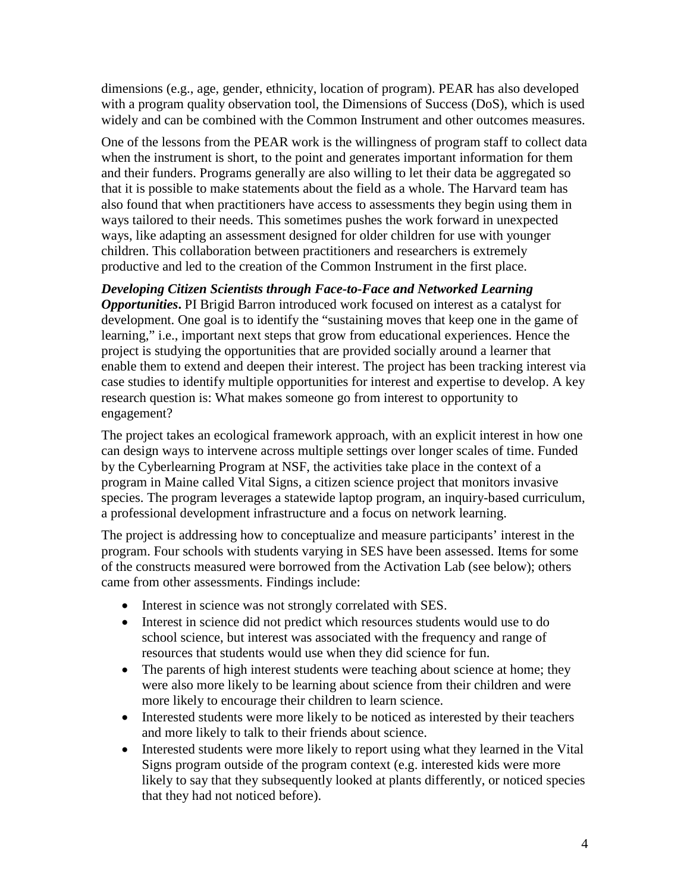dimensions (e.g., age, gender, ethnicity, location of program). PEAR has also developed with a program quality observation tool, the Dimensions of Success (DoS), which is used widely and can be combined with the Common Instrument and other outcomes measures.

One of the lessons from the PEAR work is the willingness of program staff to collect data when the instrument is short, to the point and generates important information for them and their funders. Programs generally are also willing to let their data be aggregated so that it is possible to make statements about the field as a whole. The Harvard team has also found that when practitioners have access to assessments they begin using them in ways tailored to their needs. This sometimes pushes the work forward in unexpected ways, like adapting an assessment designed for older children for use with younger children. This collaboration between practitioners and researchers is extremely productive and led to the creation of the Common Instrument in the first place.

## *Developing Citizen Scientists through Face-to-Face and Networked Learning*

*Opportunities***.** PI Brigid Barron introduced work focused on interest as a catalyst for development. One goal is to identify the "sustaining moves that keep one in the game of learning," i.e., important next steps that grow from educational experiences. Hence the project is studying the opportunities that are provided socially around a learner that enable them to extend and deepen their interest. The project has been tracking interest via case studies to identify multiple opportunities for interest and expertise to develop. A key research question is: What makes someone go from interest to opportunity to engagement?

The project takes an ecological framework approach, with an explicit interest in how one can design ways to intervene across multiple settings over longer scales of time. Funded by the Cyberlearning Program at NSF, the activities take place in the context of a program in Maine called Vital Signs, a citizen science project that monitors invasive species. The program leverages a statewide laptop program, an inquiry-based curriculum, a professional development infrastructure and a focus on network learning.

The project is addressing how to conceptualize and measure participants' interest in the program. Four schools with students varying in SES have been assessed. Items for some of the constructs measured were borrowed from the Activation Lab (see below); others came from other assessments. Findings include:

- Interest in science was not strongly correlated with SES.
- Interest in science did not predict which resources students would use to do school science, but interest was associated with the frequency and range of resources that students would use when they did science for fun.
- The parents of high interest students were teaching about science at home; they were also more likely to be learning about science from their children and were more likely to encourage their children to learn science.
- Interested students were more likely to be noticed as interested by their teachers and more likely to talk to their friends about science.
- Interested students were more likely to report using what they learned in the Vital Signs program outside of the program context (e.g. interested kids were more likely to say that they subsequently looked at plants differently, or noticed species that they had not noticed before).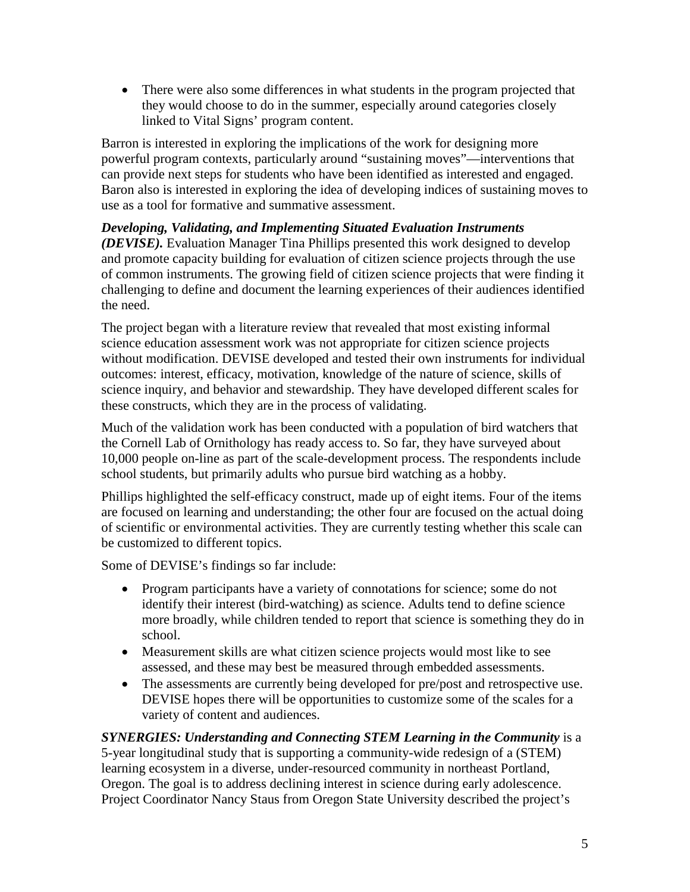• There were also some differences in what students in the program projected that they would choose to do in the summer, especially around categories closely linked to Vital Signs' program content.

Barron is interested in exploring the implications of the work for designing more powerful program contexts, particularly around "sustaining moves"—interventions that can provide next steps for students who have been identified as interested and engaged. Baron also is interested in exploring the idea of developing indices of sustaining moves to use as a tool for formative and summative assessment.

## *Developing, Validating, and Implementing Situated Evaluation Instruments*

*(DEVISE).* Evaluation Manager Tina Phillips presented this work designed to develop and promote capacity building for evaluation of citizen science projects through the use of common instruments. The growing field of citizen science projects that were finding it challenging to define and document the learning experiences of their audiences identified the need.

The project began with a literature review that revealed that most existing informal science education assessment work was not appropriate for citizen science projects without modification. DEVISE developed and tested their own instruments for individual outcomes: interest, efficacy, motivation, knowledge of the nature of science, skills of science inquiry, and behavior and stewardship. They have developed different scales for these constructs, which they are in the process of validating.

Much of the validation work has been conducted with a population of bird watchers that the Cornell Lab of Ornithology has ready access to. So far, they have surveyed about 10,000 people on-line as part of the scale-development process. The respondents include school students, but primarily adults who pursue bird watching as a hobby.

Phillips highlighted the self-efficacy construct, made up of eight items. Four of the items are focused on learning and understanding; the other four are focused on the actual doing of scientific or environmental activities. They are currently testing whether this scale can be customized to different topics.

Some of DEVISE's findings so far include:

- Program participants have a variety of connotations for science; some do not identify their interest (bird-watching) as science. Adults tend to define science more broadly, while children tended to report that science is something they do in school.
- Measurement skills are what citizen science projects would most like to see assessed, and these may best be measured through embedded assessments.
- The assessments are currently being developed for pre/post and retrospective use. DEVISE hopes there will be opportunities to customize some of the scales for a variety of content and audiences.

*SYNERGIES: Understanding and Connecting STEM Learning in the Community* is a 5-year longitudinal study that is supporting a community-wide redesign of a (STEM) learning ecosystem in a diverse, under-resourced community in northeast Portland, Oregon. The goal is to address declining interest in science during early adolescence. Project Coordinator Nancy Staus from Oregon State University described the project's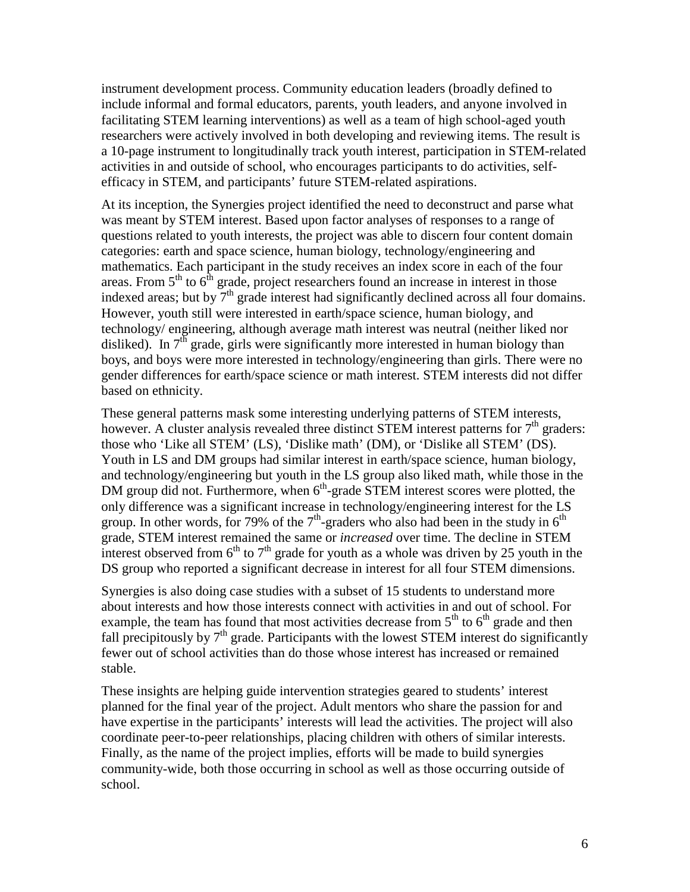instrument development process. Community education leaders (broadly defined to include informal and formal educators, parents, youth leaders, and anyone involved in facilitating STEM learning interventions) as well as a team of high school-aged youth researchers were actively involved in both developing and reviewing items. The result is a 10-page instrument to longitudinally track youth interest, participation in STEM-related activities in and outside of school, who encourages participants to do activities, selfefficacy in STEM, and participants' future STEM-related aspirations.

At its inception, the Synergies project identified the need to deconstruct and parse what was meant by STEM interest. Based upon factor analyses of responses to a range of questions related to youth interests, the project was able to discern four content domain categories: earth and space science, human biology, technology/engineering and mathematics. Each participant in the study receives an index score in each of the four areas. From  $5<sup>th</sup>$  to  $6<sup>th</sup>$  grade, project researchers found an increase in interest in those indexed areas; but by  $7<sup>th</sup>$  grade interest had significantly declined across all four domains. However, youth still were interested in earth/space science, human biology, and technology/ engineering, although average math interest was neutral (neither liked nor disliked). In  $7<sup>th</sup>$  grade, girls were significantly more interested in human biology than boys, and boys were more interested in technology/engineering than girls. There were no gender differences for earth/space science or math interest. STEM interests did not differ based on ethnicity.

These general patterns mask some interesting underlying patterns of STEM interests, however. A cluster analysis revealed three distinct STEM interest patterns for  $7<sup>th</sup>$  graders: those who 'Like all STEM' (LS), 'Dislike math' (DM), or 'Dislike all STEM' (DS). Youth in LS and DM groups had similar interest in earth/space science, human biology, and technology/engineering but youth in the LS group also liked math, while those in the DM group did not. Furthermore, when  $6<sup>th</sup>$ -grade STEM interest scores were plotted, the only difference was a significant increase in technology/engineering interest for the LS group. In other words, for 79% of the  $7<sup>th</sup>$ -graders who also had been in the study in  $6<sup>th</sup>$ grade, STEM interest remained the same or *increased* over time. The decline in STEM interest observed from  $6<sup>th</sup>$  to  $7<sup>th</sup>$  grade for youth as a whole was driven by 25 youth in the DS group who reported a significant decrease in interest for all four STEM dimensions.

Synergies is also doing case studies with a subset of 15 students to understand more about interests and how those interests connect with activities in and out of school. For example, the team has found that most activities decrease from  $5<sup>th</sup>$  to  $6<sup>th</sup>$  grade and then fall precipitously by  $7<sup>th</sup>$  grade. Participants with the lowest STEM interest do significantly fewer out of school activities than do those whose interest has increased or remained stable.

These insights are helping guide intervention strategies geared to students' interest planned for the final year of the project. Adult mentors who share the passion for and have expertise in the participants' interests will lead the activities. The project will also coordinate peer-to-peer relationships, placing children with others of similar interests. Finally, as the name of the project implies, efforts will be made to build synergies community-wide, both those occurring in school as well as those occurring outside of school.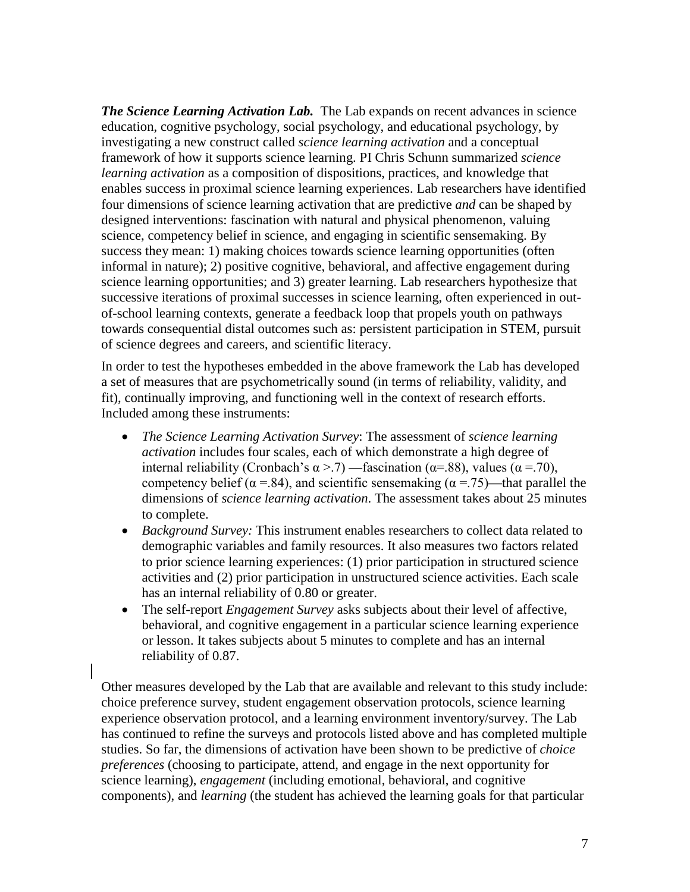**The Science Learning Activation Lab.** The Lab expands on recent advances in science education, cognitive psychology, social psychology, and educational psychology, by investigating a new construct called *science learning activation* and a conceptual framework of how it supports science learning. PI Chris Schunn summarized *science learning activation* as a composition of dispositions, practices, and knowledge that enables success in proximal science learning experiences. Lab researchers have identified four dimensions of science learning activation that are predictive *and* can be shaped by designed interventions: fascination with natural and physical phenomenon, valuing science, competency belief in science, and engaging in scientific sensemaking. By success they mean: 1) making choices towards science learning opportunities (often informal in nature); 2) positive cognitive, behavioral, and affective engagement during science learning opportunities; and 3) greater learning. Lab researchers hypothesize that successive iterations of proximal successes in science learning, often experienced in outof-school learning contexts, generate a feedback loop that propels youth on pathways towards consequential distal outcomes such as: persistent participation in STEM, pursuit of science degrees and careers, and scientific literacy.

In order to test the hypotheses embedded in the above framework the Lab has developed a set of measures that are psychometrically sound (in terms of reliability, validity, and fit), continually improving, and functioning well in the context of research efforts. Included among these instruments:

- *The Science Learning Activation Survey*: The assessment of *science learning activation* includes four scales, each of which demonstrate a high degree of internal reliability (Cronbach's  $\alpha$  >.7) —fascination ( $\alpha$ =.88), values ( $\alpha$  =.70), competency belief ( $\alpha$  =.84), and scientific sensemaking ( $\alpha$  =.75)—that parallel the dimensions of *science learning activation*. The assessment takes about 25 minutes to complete.
- *Background Survey:* This instrument enables researchers to collect data related to demographic variables and family resources. It also measures two factors related to prior science learning experiences: (1) prior participation in structured science activities and (2) prior participation in unstructured science activities. Each scale has an internal reliability of 0.80 or greater.
- The self-report *Engagement Survey* asks subjects about their level of affective, behavioral, and cognitive engagement in a particular science learning experience or lesson. It takes subjects about 5 minutes to complete and has an internal reliability of 0.87.

Other measures developed by the Lab that are available and relevant to this study include: choice preference survey, student engagement observation protocols, science learning experience observation protocol, and a learning environment inventory/survey. The Lab has continued to refine the surveys and protocols listed above and has completed multiple studies. So far, the dimensions of activation have been shown to be predictive of *choice preferences* (choosing to participate, attend, and engage in the next opportunity for science learning), *engagement* (including emotional, behavioral, and cognitive components), and *learning* (the student has achieved the learning goals for that particular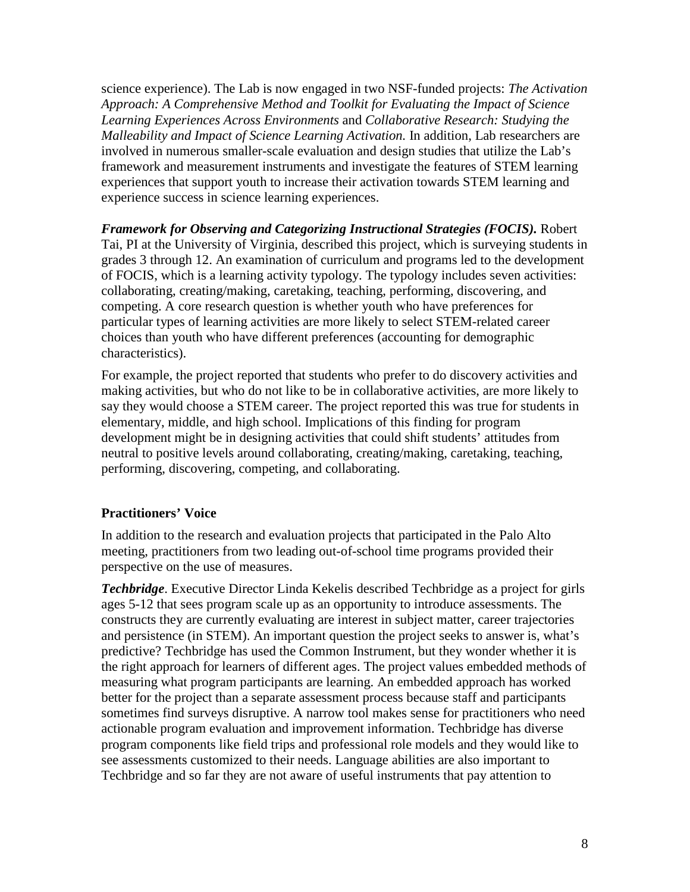science experience). The Lab is now engaged in two NSF-funded projects: *The Activation Approach: A Comprehensive Method and Toolkit for Evaluating the Impact of Science Learning Experiences Across Environments* and *Collaborative Research: Studying the Malleability and Impact of Science Learning Activation.* In addition, Lab researchers are involved in numerous smaller-scale evaluation and design studies that utilize the Lab's framework and measurement instruments and investigate the features of STEM learning experiences that support youth to increase their activation towards STEM learning and experience success in science learning experiences.

*Framework for Observing and Categorizing Instructional Strategies (FOCIS).* Robert Tai, PI at the University of Virginia, described this project, which is surveying students in grades 3 through 12. An examination of curriculum and programs led to the development of FOCIS, which is a learning activity typology. The typology includes seven activities: collaborating, creating/making, caretaking, teaching, performing, discovering, and competing. A core research question is whether youth who have preferences for particular types of learning activities are more likely to select STEM-related career choices than youth who have different preferences (accounting for demographic characteristics).

For example, the project reported that students who prefer to do discovery activities and making activities, but who do not like to be in collaborative activities, are more likely to say they would choose a STEM career. The project reported this was true for students in elementary, middle, and high school. Implications of this finding for program development might be in designing activities that could shift students' attitudes from neutral to positive levels around collaborating, creating/making, caretaking, teaching, performing, discovering, competing, and collaborating.

#### **Practitioners' Voice**

In addition to the research and evaluation projects that participated in the Palo Alto meeting, practitioners from two leading out-of-school time programs provided their perspective on the use of measures.

*Techbridge*. Executive Director Linda Kekelis described Techbridge as a project for girls ages 5-12 that sees program scale up as an opportunity to introduce assessments. The constructs they are currently evaluating are interest in subject matter, career trajectories and persistence (in STEM). An important question the project seeks to answer is, what's predictive? Techbridge has used the Common Instrument, but they wonder whether it is the right approach for learners of different ages. The project values embedded methods of measuring what program participants are learning. An embedded approach has worked better for the project than a separate assessment process because staff and participants sometimes find surveys disruptive. A narrow tool makes sense for practitioners who need actionable program evaluation and improvement information. Techbridge has diverse program components like field trips and professional role models and they would like to see assessments customized to their needs. Language abilities are also important to Techbridge and so far they are not aware of useful instruments that pay attention to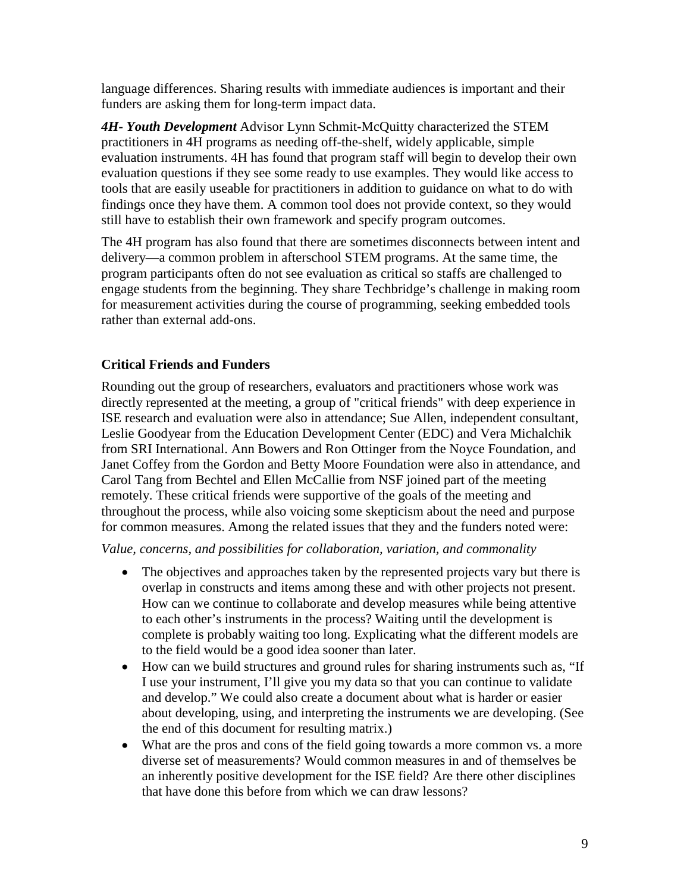language differences. Sharing results with immediate audiences is important and their funders are asking them for long-term impact data.

*4H- Youth Development* Advisor Lynn Schmit-McQuitty characterized the STEM practitioners in 4H programs as needing off-the-shelf, widely applicable, simple evaluation instruments. 4H has found that program staff will begin to develop their own evaluation questions if they see some ready to use examples. They would like access to tools that are easily useable for practitioners in addition to guidance on what to do with findings once they have them. A common tool does not provide context, so they would still have to establish their own framework and specify program outcomes.

The 4H program has also found that there are sometimes disconnects between intent and delivery—a common problem in afterschool STEM programs. At the same time, the program participants often do not see evaluation as critical so staffs are challenged to engage students from the beginning. They share Techbridge's challenge in making room for measurement activities during the course of programming, seeking embedded tools rather than external add-ons.

## **Critical Friends and Funders**

Rounding out the group of researchers, evaluators and practitioners whose work was directly represented at the meeting, a group of "critical friends" with deep experience in ISE research and evaluation were also in attendance; Sue Allen, independent consultant, Leslie Goodyear from the Education Development Center (EDC) and Vera Michalchik from SRI International. Ann Bowers and Ron Ottinger from the Noyce Foundation, and Janet Coffey from the Gordon and Betty Moore Foundation were also in attendance, and Carol Tang from Bechtel and Ellen McCallie from NSF joined part of the meeting remotely. These critical friends were supportive of the goals of the meeting and throughout the process, while also voicing some skepticism about the need and purpose for common measures. Among the related issues that they and the funders noted were:

*Value, concerns, and possibilities for collaboration, variation, and commonality* 

- The objectives and approaches taken by the represented projects vary but there is overlap in constructs and items among these and with other projects not present. How can we continue to collaborate and develop measures while being attentive to each other's instruments in the process? Waiting until the development is complete is probably waiting too long. Explicating what the different models are to the field would be a good idea sooner than later.
- How can we build structures and ground rules for sharing instruments such as, "If I use your instrument, I'll give you my data so that you can continue to validate and develop." We could also create a document about what is harder or easier about developing, using, and interpreting the instruments we are developing. (See the end of this document for resulting matrix.)
- What are the pros and cons of the field going towards a more common vs. a more diverse set of measurements? Would common measures in and of themselves be an inherently positive development for the ISE field? Are there other disciplines that have done this before from which we can draw lessons?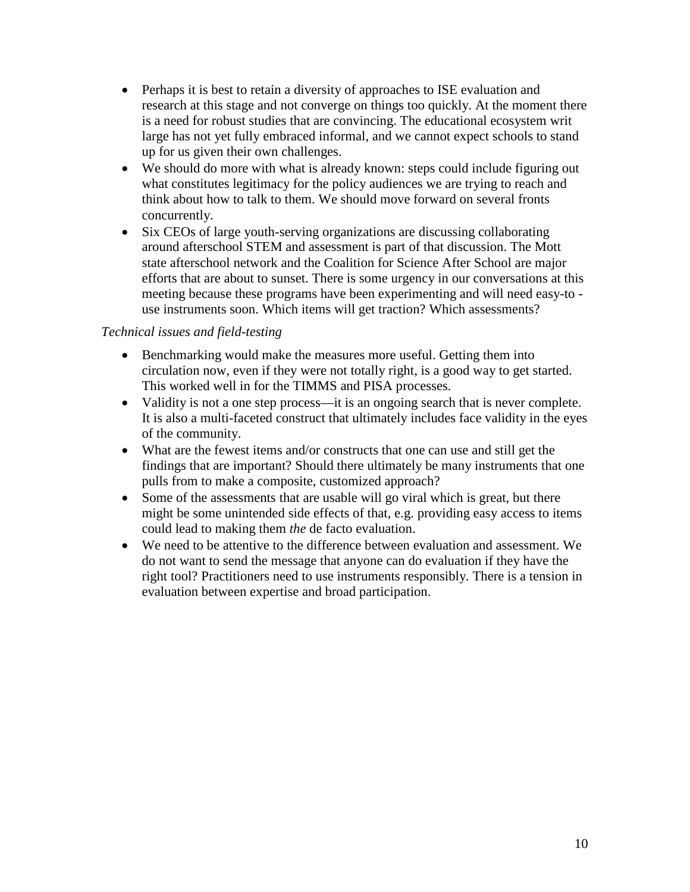- Perhaps it is best to retain a diversity of approaches to ISE evaluation and research at this stage and not converge on things too quickly. At the moment there is a need for robust studies that are convincing. The educational ecosystem writ large has not yet fully embraced informal, and we cannot expect schools to stand up for us given their own challenges.
- We should do more with what is already known: steps could include figuring out what constitutes legitimacy for the policy audiences we are trying to reach and think about how to talk to them. We should move forward on several fronts concurrently.
- Six CEOs of large youth-serving organizations are discussing collaborating around afterschool STEM and assessment is part of that discussion. The Mott state afterschool network and the Coalition for Science After School are major efforts that are about to sunset. There is some urgency in our conversations at this meeting because these programs have been experimenting and will need easy-to use instruments soon. Which items will get traction? Which assessments?

## *Technical issues and field-testing*

- Benchmarking would make the measures more useful. Getting them into circulation now, even if they were not totally right, is a good way to get started. This worked well in for the TIMMS and PISA processes.
- Validity is not a one step process—it is an ongoing search that is never complete. It is also a multi-faceted construct that ultimately includes face validity in the eyes of the community.
- What are the fewest items and/or constructs that one can use and still get the findings that are important? Should there ultimately be many instruments that one pulls from to make a composite, customized approach?
- Some of the assessments that are usable will go viral which is great, but there might be some unintended side effects of that, e.g. providing easy access to items could lead to making them *the* de facto evaluation.
- We need to be attentive to the difference between evaluation and assessment. We do not want to send the message that anyone can do evaluation if they have the right tool? Practitioners need to use instruments responsibly. There is a tension in evaluation between expertise and broad participation.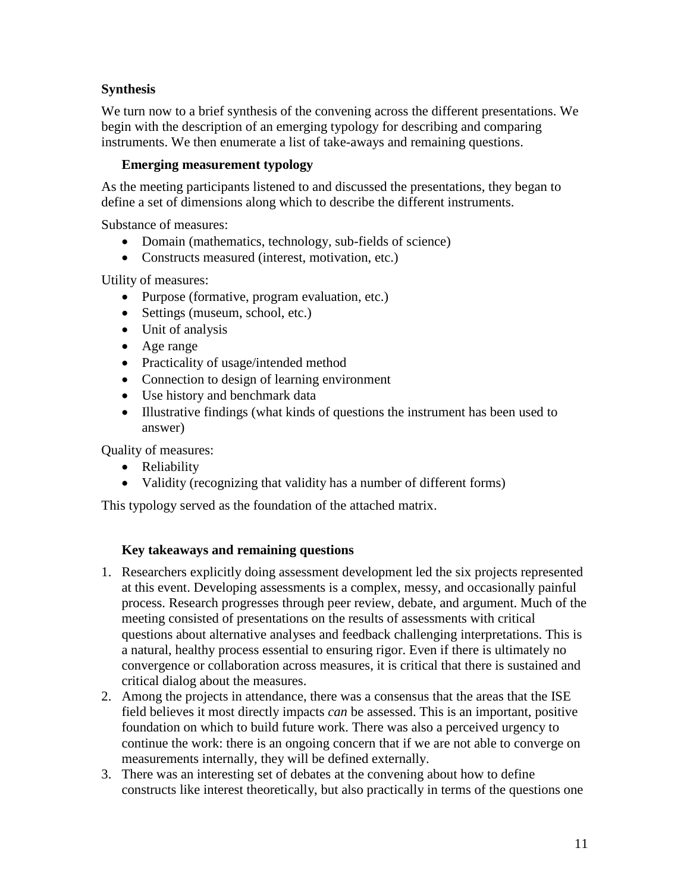## **Synthesis**

We turn now to a brief synthesis of the convening across the different presentations. We begin with the description of an emerging typology for describing and comparing instruments. We then enumerate a list of take-aways and remaining questions.

#### **Emerging measurement typology**

As the meeting participants listened to and discussed the presentations, they began to define a set of dimensions along which to describe the different instruments.

Substance of measures:

- Domain (mathematics, technology, sub-fields of science)
- Constructs measured (interest, motivation, etc.)

Utility of measures:

- Purpose (formative, program evaluation, etc.)
- Settings (museum, school, etc.)
- Unit of analysis
- Age range
- Practicality of usage/intended method
- Connection to design of learning environment
- Use history and benchmark data
- Illustrative findings (what kinds of questions the instrument has been used to answer)

Quality of measures:

- Reliability
- Validity (recognizing that validity has a number of different forms)

This typology served as the foundation of the attached matrix.

#### **Key takeaways and remaining questions**

- 1. Researchers explicitly doing assessment development led the six projects represented at this event. Developing assessments is a complex, messy, and occasionally painful process. Research progresses through peer review, debate, and argument. Much of the meeting consisted of presentations on the results of assessments with critical questions about alternative analyses and feedback challenging interpretations. This is a natural, healthy process essential to ensuring rigor. Even if there is ultimately no convergence or collaboration across measures, it is critical that there is sustained and critical dialog about the measures.
- 2. Among the projects in attendance, there was a consensus that the areas that the ISE field believes it most directly impacts *can* be assessed. This is an important, positive foundation on which to build future work. There was also a perceived urgency to continue the work: there is an ongoing concern that if we are not able to converge on measurements internally, they will be defined externally.
- 3. There was an interesting set of debates at the convening about how to define constructs like interest theoretically, but also practically in terms of the questions one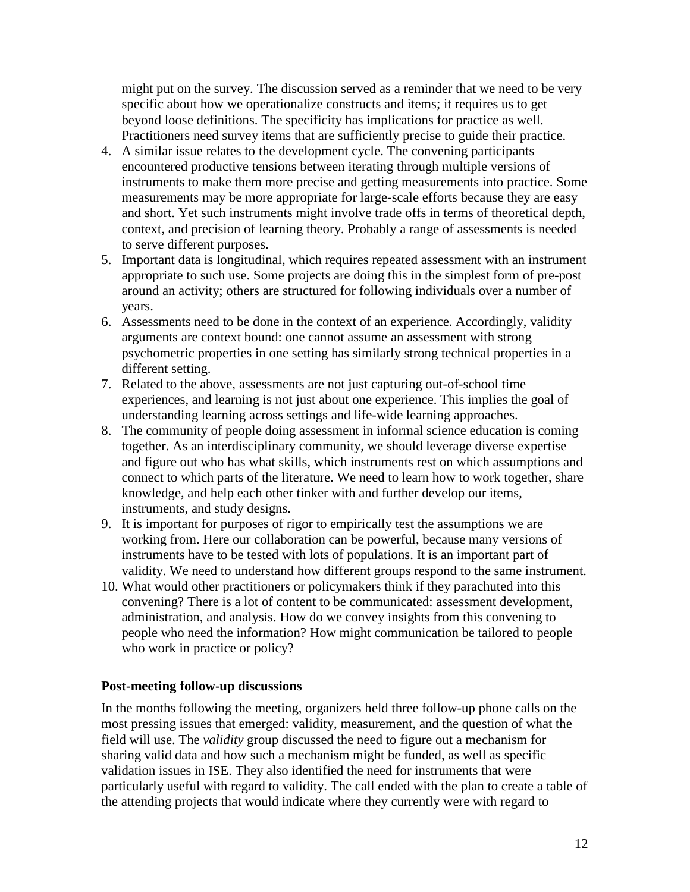might put on the survey. The discussion served as a reminder that we need to be very specific about how we operationalize constructs and items; it requires us to get beyond loose definitions. The specificity has implications for practice as well. Practitioners need survey items that are sufficiently precise to guide their practice.

- 4. A similar issue relates to the development cycle. The convening participants encountered productive tensions between iterating through multiple versions of instruments to make them more precise and getting measurements into practice. Some measurements may be more appropriate for large-scale efforts because they are easy and short. Yet such instruments might involve trade offs in terms of theoretical depth, context, and precision of learning theory. Probably a range of assessments is needed to serve different purposes.
- 5. Important data is longitudinal, which requires repeated assessment with an instrument appropriate to such use. Some projects are doing this in the simplest form of pre-post around an activity; others are structured for following individuals over a number of years.
- 6. Assessments need to be done in the context of an experience. Accordingly, validity arguments are context bound: one cannot assume an assessment with strong psychometric properties in one setting has similarly strong technical properties in a different setting.
- 7. Related to the above, assessments are not just capturing out-of-school time experiences, and learning is not just about one experience. This implies the goal of understanding learning across settings and life-wide learning approaches.
- 8. The community of people doing assessment in informal science education is coming together. As an interdisciplinary community, we should leverage diverse expertise and figure out who has what skills, which instruments rest on which assumptions and connect to which parts of the literature. We need to learn how to work together, share knowledge, and help each other tinker with and further develop our items, instruments, and study designs.
- 9. It is important for purposes of rigor to empirically test the assumptions we are working from. Here our collaboration can be powerful, because many versions of instruments have to be tested with lots of populations. It is an important part of validity. We need to understand how different groups respond to the same instrument.
- 10. What would other practitioners or policymakers think if they parachuted into this convening? There is a lot of content to be communicated: assessment development, administration, and analysis. How do we convey insights from this convening to people who need the information? How might communication be tailored to people who work in practice or policy?

#### **Post-meeting follow-up discussions**

In the months following the meeting, organizers held three follow-up phone calls on the most pressing issues that emerged: validity, measurement, and the question of what the field will use. The *validity* group discussed the need to figure out a mechanism for sharing valid data and how such a mechanism might be funded, as well as specific validation issues in ISE. They also identified the need for instruments that were particularly useful with regard to validity. The call ended with the plan to create a table of the attending projects that would indicate where they currently were with regard to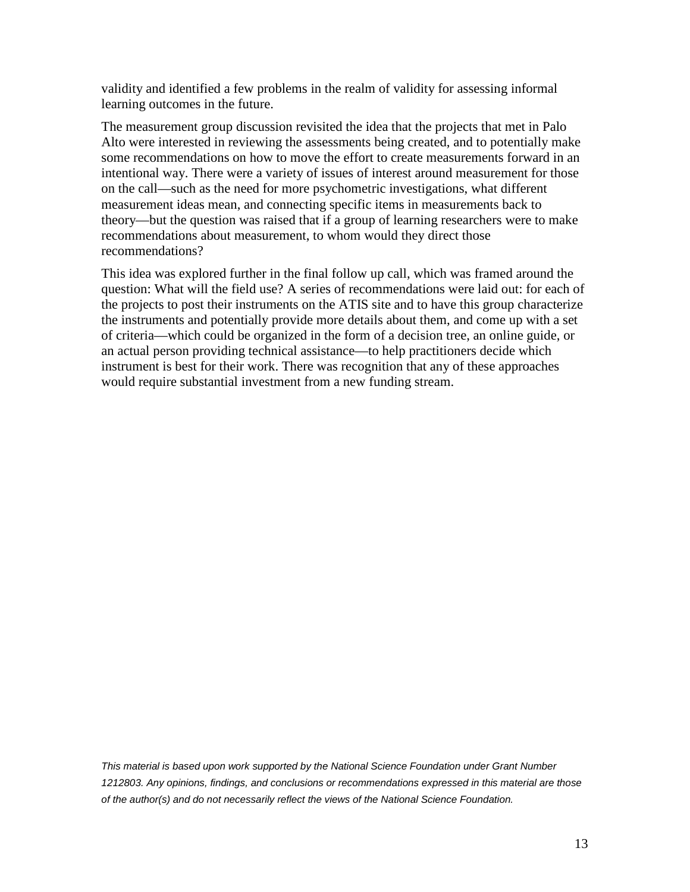validity and identified a few problems in the realm of validity for assessing informal learning outcomes in the future.

The measurement group discussion revisited the idea that the projects that met in Palo Alto were interested in reviewing the assessments being created, and to potentially make some recommendations on how to move the effort to create measurements forward in an intentional way. There were a variety of issues of interest around measurement for those on the call—such as the need for more psychometric investigations, what different measurement ideas mean, and connecting specific items in measurements back to theory—but the question was raised that if a group of learning researchers were to make recommendations about measurement, to whom would they direct those recommendations?

This idea was explored further in the final follow up call, which was framed around the question: What will the field use? A series of recommendations were laid out: for each of the projects to post their instruments on the ATIS site and to have this group characterize the instruments and potentially provide more details about them, and come up with a set of criteria—which could be organized in the form of a decision tree, an online guide, or an actual person providing technical assistance—to help practitioners decide which instrument is best for their work. There was recognition that any of these approaches would require substantial investment from a new funding stream.

*This material is based upon work supported by the National Science Foundation under Grant Number 1212803. Any opinions, findings, and conclusions or recommendations expressed in this material are those of the author(s) and do not necessarily reflect the views of the National Science Foundation.*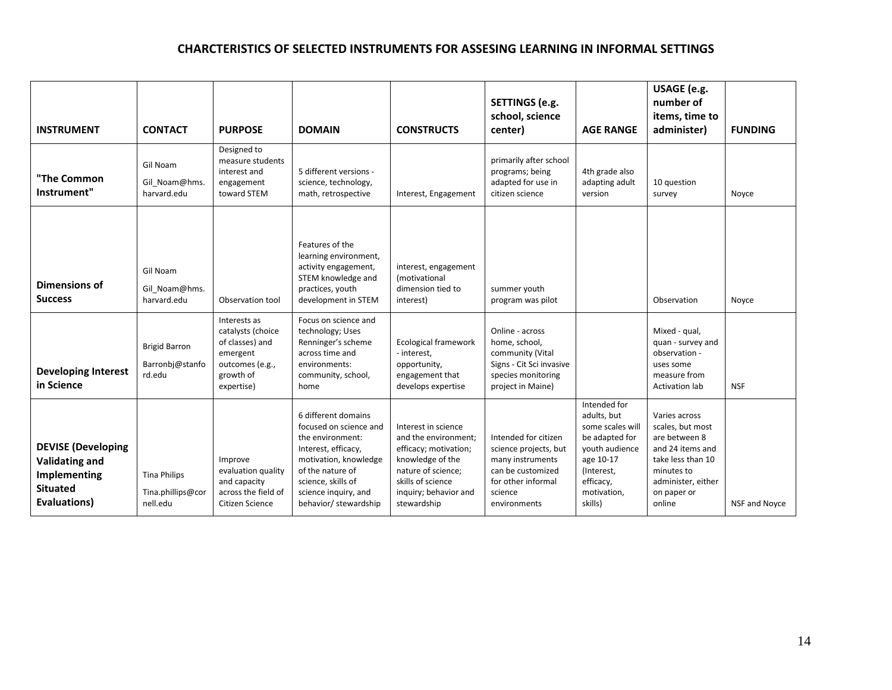#### **CHARCTERISTICS OF SELECTED INSTRUMENTS FOR ASSESING LEARNING IN INFORMAL SETTINGS**

|                                                                                                              |                                                      |                                                                                                                |                                                                                                                                                                                                              |                                                                                                                                                                             | SETTINGS (e.g.<br>school, science                                                                                                       |                                                                                                                                                       | USAGE (e.g.<br>number of<br>items, time to                                                                                                               |                |
|--------------------------------------------------------------------------------------------------------------|------------------------------------------------------|----------------------------------------------------------------------------------------------------------------|--------------------------------------------------------------------------------------------------------------------------------------------------------------------------------------------------------------|-----------------------------------------------------------------------------------------------------------------------------------------------------------------------------|-----------------------------------------------------------------------------------------------------------------------------------------|-------------------------------------------------------------------------------------------------------------------------------------------------------|----------------------------------------------------------------------------------------------------------------------------------------------------------|----------------|
| <b>INSTRUMENT</b>                                                                                            | <b>CONTACT</b>                                       | <b>PURPOSE</b>                                                                                                 | <b>DOMAIN</b>                                                                                                                                                                                                | <b>CONSTRUCTS</b>                                                                                                                                                           | center)                                                                                                                                 | <b>AGE RANGE</b>                                                                                                                                      | administer)                                                                                                                                              | <b>FUNDING</b> |
| "The Common<br>Instrument"                                                                                   | Gil Noam<br>Gil Noam@hms.<br>harvard.edu             | Designed to<br>measure students<br>interest and<br>engagement<br>toward STEM                                   | 5 different versions -<br>science, technology,<br>math, retrospective                                                                                                                                        | Interest, Engagement                                                                                                                                                        | primarily after school<br>programs; being<br>adapted for use in<br>citizen science                                                      | 4th grade also<br>adapting adult<br>version                                                                                                           | 10 question<br>survey                                                                                                                                    | Noyce          |
| Dimensions of<br><b>Success</b>                                                                              | Gil Noam<br>Gil Noam@hms.<br>harvard.edu             | Observation tool                                                                                               | Features of the<br>learning environment,<br>activity engagement,<br>STEM knowledge and<br>practices, youth<br>development in STEM                                                                            | interest, engagement<br>(motivational<br>dimension tied to<br>interest)                                                                                                     | summer youth<br>program was pilot                                                                                                       |                                                                                                                                                       | Observation                                                                                                                                              | Noyce          |
| <b>Developing Interest</b><br>in Science                                                                     | <b>Brigid Barron</b><br>Barronbj@stanfo<br>rd.edu    | Interests as<br>catalysts (choice<br>of classes) and<br>emergent<br>outcomes (e.g.,<br>growth of<br>expertise) | Focus on science and<br>technology; Uses<br>Renninger's scheme<br>across time and<br>environments:<br>community, school,<br>home                                                                             | Ecological framework<br>- interest,<br>opportunity,<br>engagement that<br>develops expertise                                                                                | Online - across<br>home, school,<br>community (Vital<br>Signs - Cit Sci invasive<br>species monitoring<br>project in Maine)             |                                                                                                                                                       | Mixed - qual,<br>quan - survey and<br>observation -<br>uses some<br>measure from<br>Activation lab                                                       | <b>NSF</b>     |
| <b>DEVISE</b> (Developing<br><b>Validating and</b><br>Implementing<br><b>Situated</b><br><b>Evaluations)</b> | <b>Tina Philips</b><br>Tina.phillips@cor<br>nell.edu | Improve<br>evaluation quality<br>and capacity<br>across the field of<br>Citizen Science                        | 6 different domains<br>focused on science and<br>the environment:<br>Interest, efficacy,<br>motivation, knowledge<br>of the nature of<br>science, skills of<br>science inquiry, and<br>behavior/ stewardship | Interest in science<br>and the environment;<br>efficacy; motivation;<br>knowledge of the<br>nature of science;<br>skills of science<br>inquiry; behavior and<br>stewardship | Intended for citizen<br>science projects, but<br>many instruments<br>can be customized<br>for other informal<br>science<br>environments | Intended for<br>adults, but<br>some scales will<br>be adapted for<br>vouth audience<br>age 10-17<br>(Interest,<br>efficacy,<br>motivation,<br>skills) | Varies across<br>scales, but most<br>are between 8<br>and 24 items and<br>take less than 10<br>minutes to<br>administer, either<br>on paper or<br>online | NSF and Noyce  |